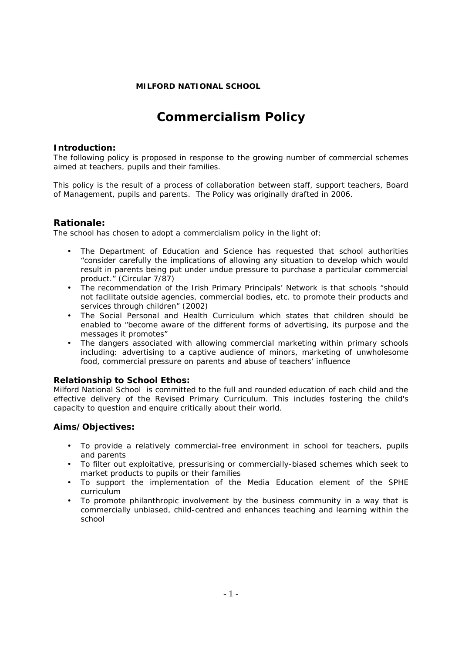## **MILFORD NATIONAL SCHOOL**

# **Commercialism Policy**

#### **Introduction:**

The following policy is proposed in response to the growing number of commercial schemes aimed at teachers, pupils and their families.

This policy is the result of a process of collaboration between staff, support teachers, Board of Management, pupils and parents. The Policy was originally drafted in 2006.

### **Rationale:**

The school has chosen to adopt a commercialism policy in the light of;

- The Department of Education and Science has requested that school authorities "*consider carefully the implications of allowing any situation to develop which would result in parents being put under undue pressure to purchase a particular commercial product*." (Circular 7/87)
- The recommendation of the Irish Primary Principals' Network is that schools *"should not facilitate outside agencies, commercial bodies, etc. to promote their products and services through children" (2002)*
- The Social Personal and Health Curriculum which states that children should be enabled to "become aware of the different forms of advertising, its purpose and the messages it promotes"
- The dangers associated with allowing commercial marketing within primary schools including: advertising to a captive audience of minors, marketing of unwholesome food, commercial pressure on parents and abuse of teachers' influence

#### **Relationship to School Ethos:**

Milford National School is committed to the full and rounded education of each child and the effective delivery of the Revised Primary Curriculum. This includes fostering the child's capacity to question and enquire critically about their world.

#### **Aims/Objectives:**

- To provide a relatively commercial-free environment in school for teachers, pupils and parents
- To filter out exploitative, pressurising or commercially-biased schemes which seek to market products to pupils or their families
- To support the implementation of the Media Education element of the SPHE curriculum
- To promote philanthropic involvement by the business community in a way that is commercially unbiased, child-centred and enhances teaching and learning within the school